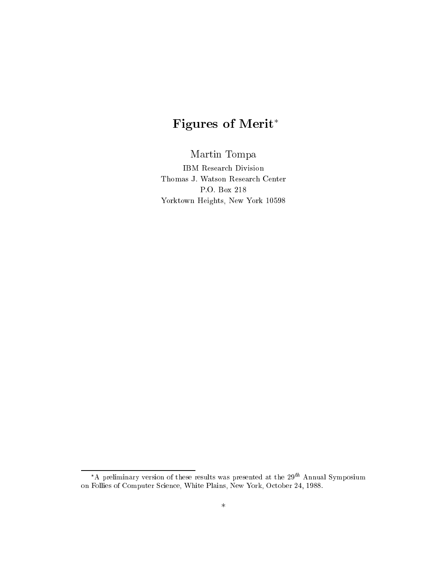# Figures of Merit

Martin Tompa

<u>1988</u> - 2000 - 200<del>0 - 2000 - 2000 - 200</del> Your Heights, New York 10598889888

<sup>\*</sup>A preliminary version of these results was presented at the  $29^{th}$  Annual Symposium on Follies of Computer S
ien
e, White Plains, New York, O
tober 24, 1988.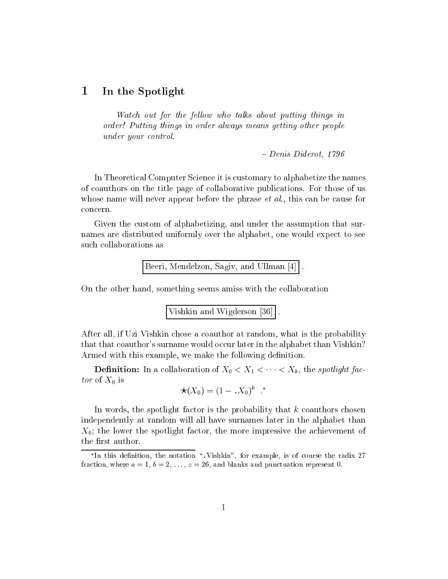#### 1In the Spotlight

Watch out for the fellow who talks about putting things in order! Putting things in order always means getting other people under your control.

 $- Denis$  Diderot, 1796

In Theoretical Computer Science it is customary to alphabetize the names of oauthors on the title page of ollaborative publi
ations. For those of us whose name will never appear before the phrase *et al.*, this can be cause for on
ern.

Given the custom of alphabetizing, and under the assumption that surnames are distributed uniformly over the alphabet, one would expe
t to see su
h ollaborations as

Beeri, Mendelzon, Sagiv, and Ullman  $[4]$ .

On the other hand, something seems amiss with the ollaboration

Vishkin and Wigderson  $[36]$ .

After all, if Uzi Vishkin hose a oauthor at random, what is the probability that that coauthor's surname would occur later in the alphabet than Vishkin? Armed with this example, we make the following definition.

 $\mathcal{D} = \{x_1, x_2, \ldots, x_m\}$  . In a spotlight factor of  $\mathcal{D} = \{x_1, x_2, \ldots, x_m\}$  , the spotlight factor  $\mathcal{D} = \{x_1, x_2, \ldots, x_m\}$ tor of  $X_0$  is

$$
\star(X_0)=(1-.X_0)^k \cdot \cdot^*
$$

In words, the spotlight factor is the probability that  $k$  coauthors chosen independently at random will all have surnames later in the alphabet than  $X_0$ ; the lower the spotlight factor, the more impressive the achievement of the first author.

In this definition, the notation  $\,$ ,  $\,$ vishkin, for example, is of course the radix 27 fraction, where  $a = 1, b = 2, \ldots, z = 26$ , and blanks and punctuation represent 0.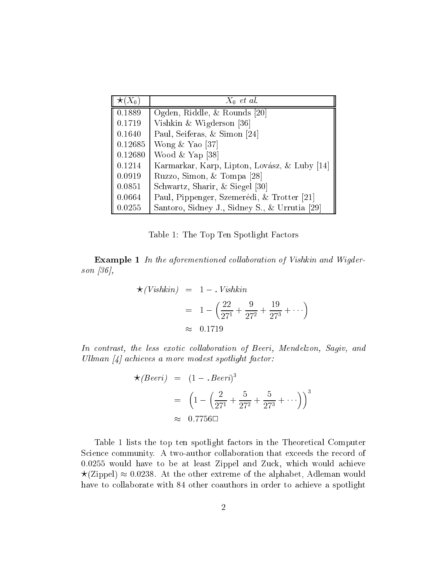| $(X_{0})$ | $X_0$ et al.                                  |
|-----------|-----------------------------------------------|
| 0.1889    | Ogden, Riddle, & Rounds [20]                  |
| 0.1719    | Vishkin & Wigderson [36]                      |
| 0.1640    | Paul, Seiferas, & Simon [24]                  |
| 0.12685   | Wong $&$ Yao [37]                             |
| 0.12680   | Wood $&$ Yap [38]                             |
| 0.1214    | Karmarkar, Karp, Lipton, Lovász, & Luby [14]  |
| 0.0919    | Ruzzo, Simon, & Tompa [28]                    |
| 0.0851    | Schwartz, Sharir, & Siegel [30]               |
| 0.0664    | Paul, Pippenger, Szemerédi, & Trotter [21]    |
| 0.0255    | Santoro, Sidney J., Sidney S., & Urrutia [29] |

Table 1: The Top Ten Spotlight Fa
tors

Example <sup>1</sup> In the aforementioned ol laboration of Vishkin and Wigderson [36],

$$
\star (Vishkin) = 1 - .Vishkin
$$
  
=  $1 - \left(\frac{22}{27^1} + \frac{9}{27^2} + \frac{19}{27^3} + \cdots\right)$   
 $\approx 0.1719$ 

In contrast, the less exotic collaboration of Beeri, Mendelzon, Sagiv, and Ullman  $[4]$  achieves a more modest spotlight factor:

$$
\star(Beeri) = (1 - .Beeri)^3
$$
  
=  $\left(1 - \left(\frac{2}{27^1} + \frac{5}{27^2} + \frac{5}{27^3} + \cdots\right)\right)^3$   
 $\approx 0.7756 \square$ 

Table 1 lists the top ten spotlight factors in the Theoretical Computer Science community. A two-author collaboration that exceeds the record of 0.0255 would have to be at least Zippel and Zuck, which would achieve  $\star$ (Zippel)  $\approx$  0.0238. At the other extreme of the alphabet, Adleman would have to collaborate with 84 other coauthors in order to achieve a spotlight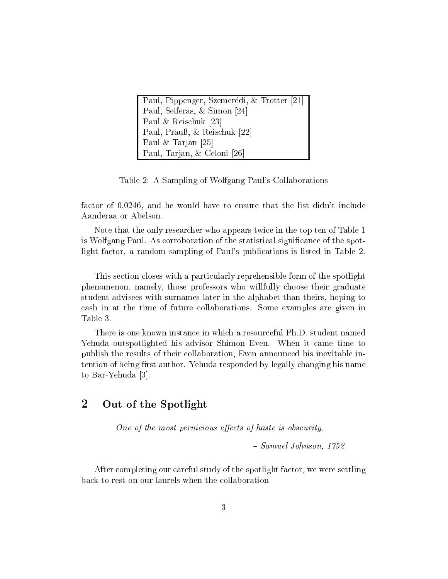| Paul, Pippenger, Szemerédi, & Trotter [21] |
|--------------------------------------------|
| Paul, Seiferas, & Simon [24]               |
| Paul & Reischuk [23]                       |
| Paul, Prauß, & Reischuk [22]               |
| Paul & Tarjan [25]                         |
| Paul, Tarjan, & Celoni [26]                |

Table 2: A Sampling of Wolfgang Paul's Collaborations

factor of 0.0246, and he would have to ensure that the list didn't include Aanderaa or Abelson.

Note that the only researcher who appears twice in the top ten of Table 1 is Wolfgang Paul. As corroboration of the statistical significance of the spotlight factor, a random sampling of Paul's publications is listed in Table 2.

This section closes with a particularly reprehensible form of the spotlight phenomenon, namely, those professors who willfully hoose their graduate student advisees with surnames later in the alphabet than theirs, hoping to ash in at the time of future ollaborations. Some examples are given in Table 3.

There is one known instan
e in whi
h a resour
eful Ph.D. student named Yehuda outspotlighted his advisor Shimon Even. When it came time to publish the results of their ollaboration, Even announ
ed his inevitable intention of being first author. Yehuda responded by legally changing his name to Bar-Yehuda [3].

### 2Out of the Spotlight

One of the most pernicious effects of haste is obscurity.

 $= Samuel Johnson, 1752$ 

After completing our careful study of the spotlight factor, we were settling ba
k to rest on our laurels when the ollaboration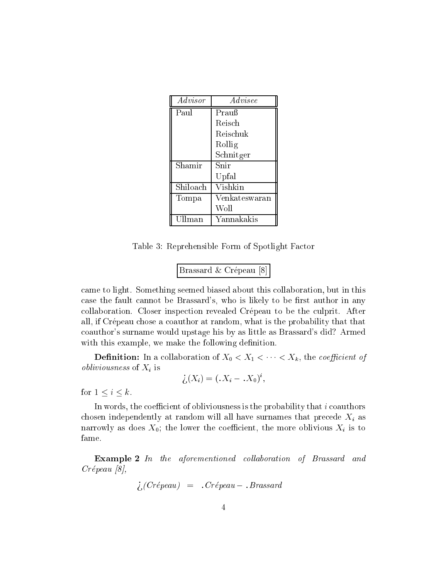| Advisor  | $\it{Advisee}$ |
|----------|----------------|
| Paul     | Prauß          |
|          | Reisch         |
|          | Reischuk       |
|          | Rollig         |
|          | Schnitger      |
| Shamir   | Snir           |
|          | Upfal          |
| Shiloach | Vishkin        |
| Tompa    | Venkateswaran  |
|          | Woll           |
| Ullman   | Yannakakis     |

Table 3: Reprehensible Form of Spotlight Fa
tor

| Brassard & Crépeau [8] |  |  |  |  |
|------------------------|--|--|--|--|
|------------------------|--|--|--|--|

ame to light. Something seemed biased about this ollaboration, but in this case the fault cannot be Brassard's, who is likely to be first author in any collaboration. Closer inspection revealed Crépeau to be the culprit. After all, if Crépeau chose a coauthor at random, what is the probability that that oauthor's surname would upstage his by as little as Brassard's did? Armed with this example, we make the following definition.

 $\Gamma$  . The contract of  $\Gamma$  is a contract of  $\Gamma$  of  $\Gamma$  of  $\Gamma$  ,  $\Gamma$  ,  $\Gamma$  ,  $\Gamma$  ,  $\Gamma$  ,  $\Gamma$  ,  $\Gamma$  ,  $\Gamma$  ,  $\Gamma$  ,  $\Gamma$  ,  $\Gamma$  ,  $\Gamma$  ,  $\Gamma$  ,  $\Gamma$  ,  $\Gamma$  ,  $\Gamma$  ,  $\Gamma$  ,  $\Gamma$  ,  $\Gamma$  ,  $\Gamma$  ,  $\Gamma$  ,  $\Gamma$  ,  $\Gamma$  , *obliviousness* of  $X_i$  is

$$
\dot{\zeta}(X_i) = (X_i - X_0)^i,
$$

for  $1 \leq i \leq k$ .

In words, the coefficient of obliviousness is the probability that i coauthors chosen independently at random will all have surnames that precede  $X_i$  as narrowly as does  $X_0$ ; the lower the coefficient, the more oblivious  $X_i$  is to fame.

Example <sup>2</sup> In the aforementioned ol laboration of Brassard and  $Crépeau [8],$ 

$$
i_{\cdot}
$$
 $(Crépeau) = .Crépeau - .Brassard$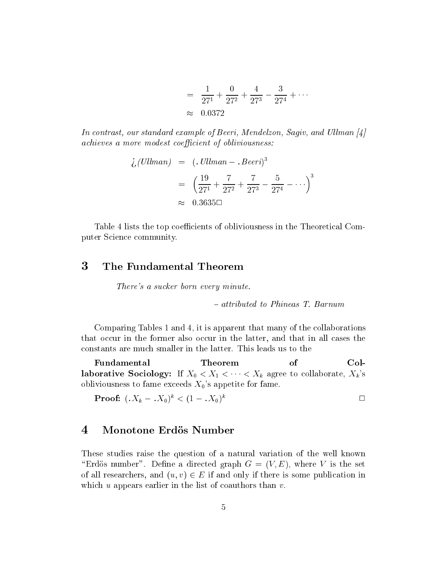$$
= \frac{1}{27^{1}} + \frac{0}{27^{2}} + \frac{4}{27^{3}} - \frac{3}{27^{4}} + \cdots
$$
  

$$
\approx 0.0372
$$

In contrast, our standard example of Beeri, Mendelzon, Sagiv, and Ullman [4] *achieves a more modest coefficient of obliviousness:* 

$$
\dot{\zeta}(Ullman) = (.Ullman - .Beeri)^3
$$

$$
= \left(\frac{19}{27^1} + \frac{7}{27^2} + \frac{7}{27^3} - \frac{5}{27^4} - \cdots\right)^3
$$

$$
\approx 0.3635\Box
$$

Table 4 lists the top coefficients of obliviousness in the Theoretical Computer Science community.

#### 3 The Fundamental Theorem

There's a sucker born every minute.

- attributed to Phineas T. Barnum

Comparing Tables 1 and 4, it is apparent that many of the collaborations that occur in the former also occur in the latter, and that in all cases the constants are much smaller in the latter. This leads us to the

Fundamental Theorem of  $Col$ **laborative Sociology:** If  $X_0 < X_1 < \cdots < X_k$  agree to collaborate,  $X_k$ 's obliviousness to fame exceeds  $X_0$ 's appetite for fame.

**Proof:**  $(X_k - .X_0)^k < (1 - .X_0)^k$  $\Box$ 

#### $\boldsymbol{4}$ Monotone Erdös Number

These studies raise the question of a natural variation of the well known "Erdös number". Define a directed graph  $G = (V, E)$ , where V is the set of all researchers, and  $(u, v) \in E$  if and only if there is some publication in which u appears earlier in the list of coauthors than  $v$ .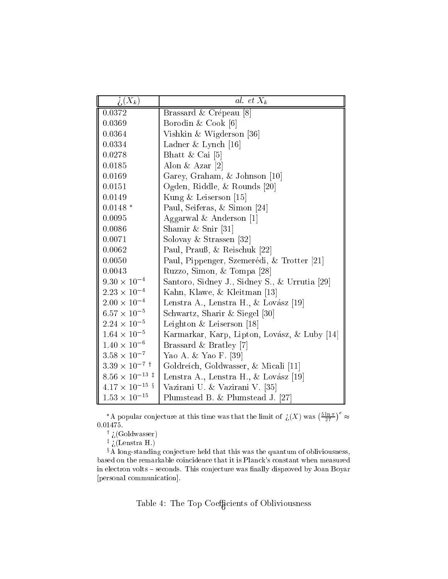| $\lambda(X_k)$                | al. et $X_k$                                  |
|-------------------------------|-----------------------------------------------|
| 0.0372                        | Brassard & Crépeau [8]                        |
| 0.0369                        | Borodin & Cook $[6]$                          |
| 0.0364                        | Vishkin & Wigderson [36]                      |
| 0.0334                        | Ladner & Lynch $[16]$                         |
| 0.0278                        | Bhatt & Cai $[5]$                             |
| 0.0185                        | Alon & Azar $[2]$                             |
| 0.0169                        | Garey, Graham, & Johnson [10]                 |
| 0.0151                        | Ogden, Riddle, & Rounds [20]                  |
| 0.0149                        | Kung & Leiserson [15]                         |
| $0.0148*$                     | Paul, Seiferas, & Simon [24]                  |
| 0.0095                        | Aggarwal & Anderson $[1]$                     |
| 0.0086                        | Shamir & Snir [31]                            |
| 0.0071                        | Solovay & Strassen [32]                       |
| 0.0062                        | Paul, Prauß, & Reischuk [22]                  |
| 0.0050                        | Paul, Pippenger, Szemerédi, & Trotter [21]    |
| 0.0043                        | Ruzzo, Simon, & Tompa [28]                    |
| $9.30 \times 10^{-4}$         | Santoro, Sidney J., Sidney S., & Urrutia [29] |
| $2.23 \times 10^{-4}$         | Kahn, Klawe, & Kleitman [13]                  |
| $2.00 \times 10^{-4}$         | Lenstra A., Lenstra H., & Lovász [19]         |
| $6.57 \times 10^{-5}$         | Schwartz, Sharir & Siegel [30]                |
| $2.24 \times 10^{-5}$         | Leighton $\&$ Leiserson [18]                  |
| $1.64 \times 10^{-5}$         | Karmarkar, Karp, Lipton, Lovász, & Luby [14]  |
| $1.40\times10^{-6}$           | Brassard & Bratley [7]                        |
| $3.58\times10^{-7}$           | Yao A. & Yao F. [39]                          |
| $3.39 \times 10^{-7}$ †       | Goldreich, Goldwasser, & Micali [11]          |
| $8.56 \times 10^{-13}$ ‡      | Lenstra A., Lenstra H., & Lovász [19]         |
| $4.17 \times 10^{-15}$ §      | Vazirani U. & Vazirani V. [35]                |
| $1.53$<br>$\times$ $10^{-15}$ | Plumstead B. & Plumstead J. [27]              |

\*A popular conjecture at this time was that the limit of  $\iota(X)$  was  $\left(\frac{5 \ln \pi}{27}\right)$  $\big)^e \approx$ 0:01475.

<sup>y</sup> >(Goldwasser)

<sup>z</sup> >(Lenstra H.)

xA long-standing onje
ture held that this was the quantum of obliviousness, based on the remarkable oin
iden
e that it is Plan
k's onstant when measured in electron volts - seconds. This conjecture was finally disproved by Joan Boyar [personal communication].

Table 4: The Top CoeÆ
ients of Obliviousness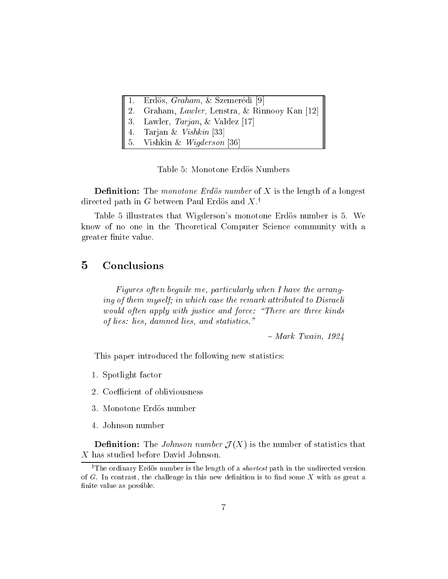|  |  |  |  | Erdös, <i>Graham</i> , & Szemerédi [9] |  |  |
|--|--|--|--|----------------------------------------|--|--|
|--|--|--|--|----------------------------------------|--|--|

Graham, Lawler, Lenstra, & Rinnooy Kan [12]

3. Lawler,  $Tarjan$ , & Valdez [17]

- 4. Tarjan  $\&$  Vishkin [33]
- Vishkin & Wigderson [36]

Table 5: Monotone Erdös Numbers

Denition: The monotone Erdos number of <sup>X</sup> is the length of a longest directed path in  $G$  between Paul Erdos and  $\Lambda$ .'

Table 5 illustrates that Wigderson's monotone Erdös number is 5. We know of no one in the Theoreti
al Computer S
ien
e ommunity with a greater nite value.

#### $\overline{5}$ **Conclusions**

Figures often beguile me, particularly when I have the arranging of them myself; in which case the remark attributed to Disraeli would often apply with justice and force: "There are three kinds of lies: lies, damned lies, and statisti
s."

 $-$  Mark Twain, 1924

This paper introdu
ed the following new statisti
s:

- 1. Spotlight fa
tor
- 2. Coefficient of obliviousness
- 3. Monotone Erdos number
- 4. Johnson number

Denition: The Johnson number <sup>J</sup> (X) is the number of statisti
s that <sup>X</sup> has studied before David Johnson.

The ordinary Erdos number is the length of a *shortest* path in the undirected version of  $G$ . In contrast, the challenge in this new definition is to find some  $X$  with as great a finite value as possible.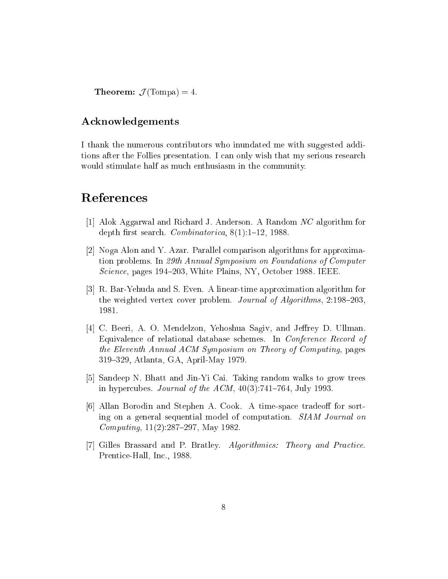Theorem: <sup>J</sup> (Tompa) = 4:

## A
knowledgements

I thank the numerous ontributors who inundated me with suggested additions after the Follies presentation. I an only wish that my serious resear
h would stimulate half as much enthusiasm in the community.

- [1] Alok Aggarwal and Richard J. Anderson. A Random  $NC$  algorithm for depth first search. *Combinatorica*,  $8(1):1-12$ , 1988.
- [2] Noga Alon and Y. Azar. Parallel comparison algorithms for approximation problems. In 29th Annual Symposium on Foundations of Computer Science, pages 194–203, White Plains, NY, October 1988. IEEE.
- [3] R. Bar-Yehuda and S. Even. A linear-time approximation algorithm for the weighted vertex cover problem. Journal of Algorithms,  $2.198-203$ , 1981.
- [4] C. Beeri, A. O. Mendelzon, Yehoshua Sagiv, and Jeffrey D. Ullman. Equivalence of relational database schemes. In *Conference Record of* the Eleventh Annual ACM Symposium on Theory of Computing, pages 319{329, Atlanta, GA, April-May 1979.
- [5] Sandeep N. Bhatt and Jin-Yi Cai. Taking random walks to grow trees in hypercubes. Journal of the ACM,  $40(3):741-764$ , July 1993.
- [6] Allan Borodin and Stephen A. Cook. A time-space tradeoff for sorting on a general sequential model of computation. SIAM Journal on *Computing*,  $11(2):287{-}297$ , May 1982.
- [7] Gilles Brassard and P. Bratley. Algorithmics: Theory and Practice. Prentice-Hall, Inc., 1988.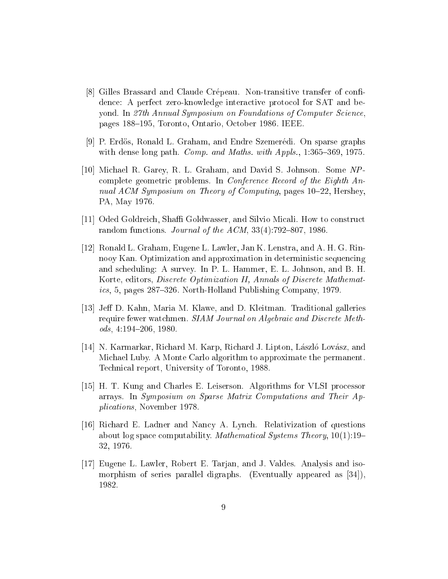- [8] Gilles Brassard and Claude Crépeau. Non-transitive transfer of confidence: A perfect zero-knowledge interactive protocol for SAT and beyond. In 27th Annual Symposium on Foundations of Computer Science pages 188–195, Toronto, Ontario, October 1986. IEEE.
- [9] P. Erdös, Ronald L. Graham, and Endre Szemerédi. On sparse graphs with dense long path. Comp. and Maths. with Appls., 1:365-369, 1975.
- [10] Michael R. Garey, R. L. Graham, and David S. Johnson. Some NPcomplete geometric problems. In Conference Record of the Eighth Annual ACM Symposium on Theory of Computing, pages 10–22, Hershey, PA, May 1976.
- [11] Oded Goldreich, Shaffi Goldwasser, and Silvio Micali. How to construct random functions. *Journal of the ACM*,  $33(4)$ :792-807, 1986.
- [12] Ronald L. Graham, Eugene L. Lawler, Jan K. Lenstra, and A. H. G. Rinnooy Kan. Optimization and approximation in deterministic sequencing and scheduling: A survey. In P. L. Hammer, E. L. Johnson, and B. H. Korte, editors, *Discrete Optimization II*, *Annals of Discrete Mathemat*ics, 5, pages 287–326. North-Holland Publishing Company, 1979.
- [13] Jeff D. Kahn, Maria M. Klawe, and D. Kleitman. Traditional galleries require fewer watchmen. SIAM Journal on Algebraic and Discrete Methods,  $4:194-206$ , 1980.
- [14] N. Karmarkar, Richard M. Karp, Richard J. Lipton, László Lovász, and Michael Luby. A Monte Carlo algorithm to approximate the permanent. Technical report, University of Toronto, 1988.
- [15] H. T. Kung and Charles E. Leiserson. Algorithms for VLSI processor arrays. In Symposium on Sparse Matrix Computations and Their Ap*plications*, November 1978.
- [16] Richard E. Ladner and Nancy A. Lynch. Relativization of questions about log space computability. Mathematical Systems Theory,  $10(1)$ :19– 32, 1976.
- [17] Eugene L. Lawler, Robert E. Tarjan, and J. Valdes. Analysis and isomorphism of series parallel digraphs. (Eventually appeared as [34]), 1982.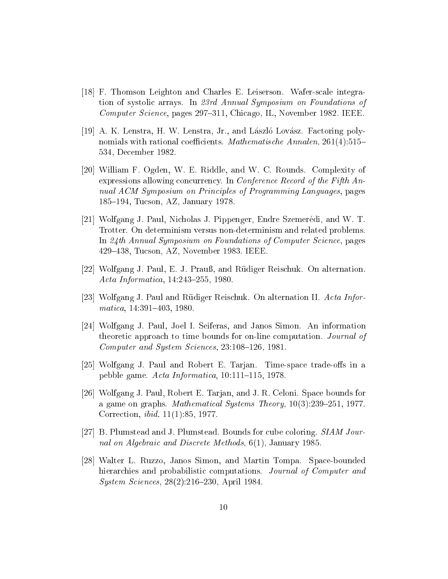- [18] F. Thomson Leighton and Charles E. Leiserson. Wafer-scale integration of systolic arrays. In 23rd Annual Symposium on Foundations of *Computer Science*, pages 297–311, Chicago, IL, November 1982. IEEE.
- [19] A. K. Lenstra, H. W. Lenstra, Jr., and László Lovász. Factoring polynomials with rational coefficients. Mathematische Annalen, 261(4):515– 534, December 1982.
- [20] William F. Ogden, W. E. Riddle, and W. C. Rounds. Complexity of expressions allowing concurrency. In *Conference Record of the Fifth An*nual ACM Symposium on Principles of Programming Languages, pages 185–194, Tucson, AZ, January 1978.
- [21] Wolfgang J. Paul, Nicholas J. Pippenger, Endre Szemerédi, and W. T. Trotter. On determinism versus non-determinism and related problems. In 24th Annual Symposium on Foundations of Computer Science, pages 429–438, Tucson, AZ, November 1983. IEEE.
- [22] Wolfgang J. Paul, E. J. Prauß, and Rüdiger Reischuk. On alternation. Acta Informatica, 14:243-255, 1980.
- [23] Wolfgang J. Paul and Rüdiger Reischuk. On alternation II. Acta Informatica,  $14:391-403$ ,  $1980$ .
- [24] Wolfgang J. Paul, Joel I. Seiferas, and Janos Simon. An information theoretic approach to time bounds for on-line computation. Journal of Computer and System Sciences, 23:108-126, 1981.
- [25] Wolfgang J. Paul and Robert E. Tarjan. Time-space trade-offs in a pebble game. Acta Informatica, 10:111-115, 1978.
- [26] Wolfgang J. Paul, Robert E. Tarjan, and J. R. Celoni. Space bounds for a game on graphs. *Mathematical Systems Theory*,  $10(3):239-251$ , 1977. Correction, *ibid.* 11(1):85, 1977.
- [27] B. Plumstead and J. Plumstead. Bounds for cube coloring. SIAM Journal on Algebraic and Discrete Methods, 6(1), January 1985.
- [28] Walter L. Ruzzo, Janos Simon, and Martin Tompa. Space-bounded hierarchies and probabilistic computations. Journal of Computer and *System Sciences*,  $28(2):216-230$ , April 1984.